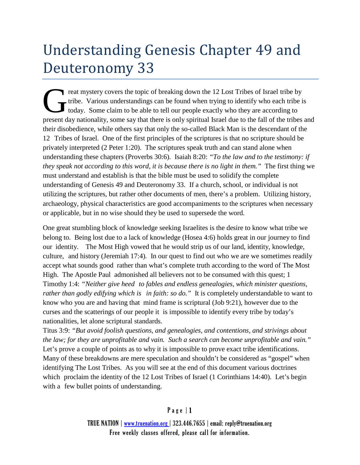# Understanding Genesis Chapter 49 and Deuteronomy 33

The set of the topic of breaking down the 12 Lost Tribes of Israel tribe by<br>tribe. Various understandings can be found when trying to identify who each tribe is<br>today. Some claim to be able to tell our people exactly who t reat mystery covers the topic of breaking down the 12 Lost Tribes of Israel tribe by tribe. Various understandings can be found when trying to identify who each tribe is today. Some claim to be able to tell our people exactly who they are according to their disobedience, while others say that only the so-called Black Man is the descendant of the 12 Tribes of Israel. One of the first principles of the scriptures is that no scripture should be privately interpreted (2 Peter 1:20). The scriptures speak truth and can stand alone when understanding these chapters (Proverbs 30:6). Isaiah 8:20: *"To the law and to the testimony: if they speak not according to this word, it is because there is no light in them."* The first thing we must understand and establish is that the bible must be used to solidify the complete understanding of Genesis 49 and Deuteronomy 33. If a church, school, or individual is not utilizing the scriptures, but rather other documents of men, there's a problem. Utilizing history, archaeology, physical characteristics are good accompaniments to the scriptures when necessary or applicable, but in no wise should they be used to supersede the word.

One great stumbling block of knowledge seeking Israelites is the desire to know what tribe we belong to. Being lost due to a lack of knowledge (Hosea 4:6) holds great in our journey to find our identity. The Most High vowed that he would strip us of our land, identity, knowledge, culture, and history (Jeremiah 17:4). In our quest to find out who we are we sometimes readily accept what sounds good rather than what's complete truth according to the word of The Most High. The Apostle Paul admonished all believers not to be consumed with this quest; 1 Timothy 1:4: *"Neither give heed to fables and endless genealogies, which minister questions, rather than godly edifying which is in faith: so do."* It is completely understandable to want to know who you are and having that mind frame is scriptural (Job 9:21), however due to the curses and the scatterings of our people it is impossible to identify every tribe by today's nationalities, let alone scriptural standards.

Titus 3:9: *"But avoid foolish questions, and genealogies, and contentions, and strivings about the law; for they are unprofitable and vain. Such a search can become unprofitable and vain."* Let's prove a couple of points as to why it is impossible to prove exact tribe identifications. Many of these breakdowns are mere speculation and shouldn't be considered as "gospel" when identifying The Lost Tribes. As you will see at the end of this document various doctrines which proclaim the identity of the 12 Lost Tribes of Israel (1 Corinthians 14:40). Let's begin with a few bullet points of understanding.

## $P$  a g e | 1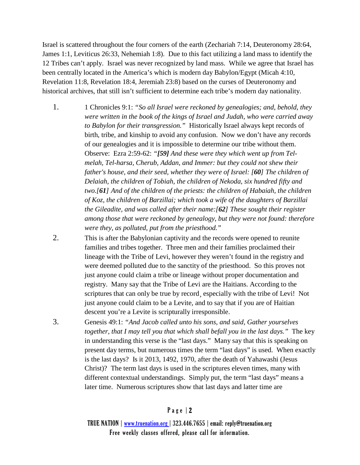Israel is scattered throughout the four corners of the earth (Zechariah 7:14, Deuteronomy 28:64, James 1:1, Leviticus 26:33, Nehemiah 1:8). Due to this fact utilizing a land mass to identify the 12 Tribes can't apply. Israel was never recognized by land mass. While we agree that Israel has been centrally located in the America's which is modern day Babylon/Egypt (Micah 4:10, Revelation 11:8, Revelation 18:4, Jeremiah 23:8) based on the curses of Deuteronomy and historical archives, that still isn't sufficient to determine each tribe's modern day nationality.

- 1. 1 Chronicles 9:1: *"So all Israel were reckoned by genealogies; and, behold, they were written in the book of the kings of Israel and Judah, who were carried away to Babylon for their transgression."* Historically Israel always kept records of birth, tribe, and kinship to avoid any confusion. Now we don't have any records of our genealogies and it is impossible to determine our tribe without them. Observe: Ezra 2:59-62: *"[59] And these were they which went up from Telmelah, Tel-harsa, Cherub, Addan, and Immer: but they could not shew their father's house, and their seed, whether they were of Israel: [60] The children of Delaiah, the children of Tobiah, the children of Nekoda, six hundred fifty and two.[61] And of the children of the priests: the children of Habaiah, the children of Koz, the children of Barzillai; which took a wife of the daughters of Barzillai the Gileadite, and was called after their name:[62] These sought their register among those that were reckoned by genealogy, but they were not found: therefore were they, as polluted, put from the priesthood."*
- 2. This is after the Babylonian captivity and the records were opened to reunite families and tribes together. Three men and their families proclaimed their lineage with the Tribe of Levi, however they weren't found in the registry and were deemed polluted due to the sanctity of the priesthood. So this proves not just anyone could claim a tribe or lineage without proper documentation and registry. Many say that the Tribe of Levi are the Haitians. According to the scriptures that can only be true by record¸ especially with the tribe of Levi! Not just anyone could claim to be a Levite, and to say that if you are of Haitian descent you're a Levite is scripturally irresponsible.
- 3. Genesis 49:1: *"And Jacob called unto his sons, and said, Gather yourselves together, that I may tell you that which shall befall you in the last days."* The key in understanding this verse is the "last days." Many say that this is speaking on present day terms, but numerous times the term "last days" is used. When exactly is the last days? Is it 2013, 1492, 1970, after the death of Yahawashi (Jesus Christ)? The term last days is used in the scriptures eleven times, many with different contextual understandings. Simply put, the term "last days" means a later time. Numerous scriptures show that last days and latter time are

## P a g e | 2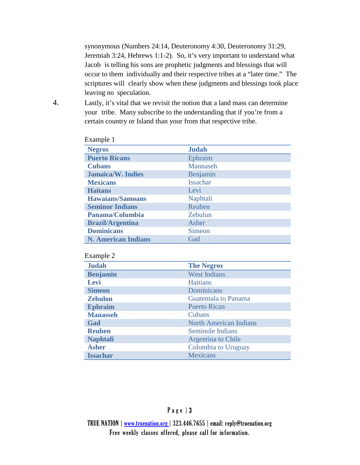synonymous (Numbers 24:14, Deuteronomy 4:30, Deuteronomy 31:29, Jeremiah 3:24, Hebrews 1:1-2). So, it's very important to understand what Jacob is telling his sons are prophetic judgments and blessings that will occur to them individually and their respective tribes at a "later time." The scriptures will clearly show when these judgments and blessings took place leaving no speculation.

4. Lastly, it's vital that we revisit the notion that a land mass can determine your tribe. Many subscribe to the understanding that if you're from a certain country or Island than your from that respective tribe.

| планиріст                  |                 |  |
|----------------------------|-----------------|--|
| <b>Negros</b>              | <b>Judah</b>    |  |
| <b>Puerto Ricans</b>       | Ephraim         |  |
| <b>Cubans</b>              | Mannaseh        |  |
| <b>Jamaica/W. Indies</b>   | Benjamin        |  |
| <b>Mexicans</b>            | <b>Issachar</b> |  |
| <b>Haitans</b>             | Levi            |  |
| <b>Hawaians/Samoans</b>    | Naphtali        |  |
| <b>Seminor Indians</b>     | Reuben          |  |
| Panama/Columbia            | Zebulun         |  |
| <b>Brazil/Argentina</b>    | Asher           |  |
| <b>Dominicans</b>          | Simeon          |  |
| <b>N. American Indians</b> | Gad             |  |

Example 1

Example 2

| $L$ <sup><math>\alpha</math></sup> $\mu$ <sub><math>\mu</math></sub> $\mu$ $\mu$ |                               |
|----------------------------------------------------------------------------------|-------------------------------|
| <b>Judah</b>                                                                     | <b>The Negros</b>             |
| <b>Benjamin</b>                                                                  | <b>West Indians</b>           |
| Levi                                                                             | <b>Haitians</b>               |
| <b>Simeon</b>                                                                    | Dominicans                    |
| <b>Zebulon</b>                                                                   | Guatemala to Panama           |
| <b>Ephraim</b>                                                                   | <b>Puerto Rican</b>           |
| <b>Manasseh</b>                                                                  | Cubans                        |
| Gad                                                                              | <b>North American Indians</b> |
| <b>Reuben</b>                                                                    | Seminole Indians              |
| <b>Naphtali</b>                                                                  | <b>Argentina to Chile</b>     |
| <b>Asher</b>                                                                     | Colombia to Uruguay           |
| <b>Issachar</b>                                                                  | <b>Mexicans</b>               |

## Page  $|3$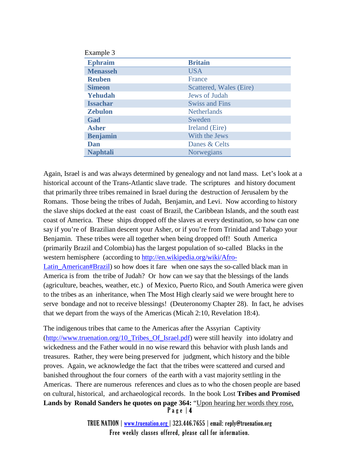| Example 3       |                         |
|-----------------|-------------------------|
| <b>Ephraim</b>  | <b>Britain</b>          |
| <b>Menasseh</b> | <b>USA</b>              |
| <b>Reuben</b>   | France                  |
| <b>Simeon</b>   | Scattered, Wales (Eire) |
| Yehudah         | Jews of Judah           |
| <b>Issachar</b> | <b>Swiss and Fins</b>   |
| <b>Zebulon</b>  | <b>Netherlands</b>      |
| Gad             | Sweden                  |
| <b>Asher</b>    | Ireland (Eire)          |
| <b>Benjamin</b> | With the Jews           |
| Dan             | Danes & Celts           |
| <b>Naphtali</b> | Norwegians              |

Again, Israel is and was always determined by genealogy and not land mass. Let's look at a historical account of the Trans-Atlantic slave trade. The scriptures and history document that primarily three tribes remained in Israel during the destruction of Jerusalem by the Romans. Those being the tribes of Judah, Benjamin, and Levi. Now according to history the slave ships docked at the east coast of Brazil, the Caribbean Islands, and the south east coast of America. These ships dropped off the slaves at every destination, so how can one say if you're of Brazilian descent your Asher, or if you're from Trinidad and Tabago your Benjamin. These tribes were all together when being dropped off! South America (primarily Brazil and Colombia) has the largest population of so-called Blacks in the western hemisphere (according to [http://en.wikipedia.org/wiki/Afro-](http://en.wikipedia.org/wiki/Afro-Latin_American%23Brazil)[Latin\\_American#Brazil\)](http://en.wikipedia.org/wiki/Afro-Latin_American%23Brazil) so how does it fare when one says the so-called black man in America is from the tribe of Judah? Or how can we say that the blessings of the lands

(agriculture, beaches, weather, etc.) of Mexico, Puerto Rico, and South America were given to the tribes as an inheritance, when The Most High clearly said we were brought here to serve bondage and not to receive blessings! (Deuteronomy Chapter 28). In fact, he advises that we depart from the ways of the Americas (Micah 2:10, Revelation 18:4).

The indigenous tribes that came to the Americas after the Assyrian Captivity [\(http://www.truenation.org/10\\_Tribes\\_Of\\_Israel.pdf\)](http://www.truenation.org/10_Tribes_Of_Israel.pdf) were still heavily into idolatry and wickedness and the Father would in no wise reward this behavior with plush lands and treasures. Rather, they were being preserved for judgment, which history and the bible proves. Again, we acknowledge the fact that the tribes were scattered and cursed and banished throughout the four corners of the earth with a vast majority settling in the Americas. There are numerous references and clues as to who the chosen people are based on cultural, historical, and archaeological records. In the book Lost **Tribes and Promised Lands by Ronald Sanders he quotes on page 364:** "Upon hearing her words they rose,  $P$  a g e  $\vert$  4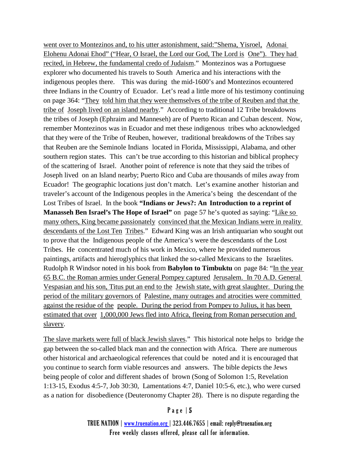went over to Montezinos and, to his utter astonishment, said:"Shema, Yisroel, Adonai Elohenu Adonai Ehod" ("Hear, O Israel, the Lord our God, The Lord is One"). They had recited, in Hebrew, the fundamental credo of Judaism." Montezinos was a Portuguese explorer who documented his travels to South America and his interactions with the indigenous peoples there. This was during the mid-1600's and Montezinos ecountered three Indians in the Country of Ecuador. Let's read a little more of his testimony continuing on page 364: "They told him that they were themselves of the tribe of Reuben and that the tribe of Joseph lived on an island nearby." According to traditional 12 Tribe breakdowns the tribes of Joseph (Ephraim and Manneseh) are of Puerto Rican and Cuban descent. Now, remember Montezinos was in Ecuador and met these indigenous tribes who acknowledged that they were of the Tribe of Reuben, however, traditional breakdowns of the Tribes say that Reuben are the Seminole Indians located in Florida, Mississippi, Alabama, and other southern region states. This can't be true according to this historian and biblical prophecy of the scattering of Israel. Another point of reference is note that they said the tribes of Joseph lived on an Island nearby; Puerto Rico and Cuba are thousands of miles away from Ecuador! The geographic locations just don't match. Let's examine another historian and traveler's account of the Indigenous peoples in the America's being the descendant of the Lost Tribes of Israel. In the book **"Indians or Jews?: An Introduction to a reprint of Manasseh Ben Israel's The Hope of Israel"** on page 57 he's quoted as saying: "Like so many others, King became passionately convinced that the Mexican Indians were in reality descendants of the Lost Ten Tribes." Edward King was an Irish antiquarian who sought out to prove that the Indigenous people of the America's were the descendants of the Lost Tribes. He concentrated much of his work in Mexico, where he provided numerous paintings, artifacts and hieroglyphics that linked the so-called Mexicans to the Israelites. Rudolph R Windsor noted in his book from **Babylon to Timbuktu** on page 84: "In the year 65 B.C. the Roman armies under General Pompey captured Jerusalem. In 70 A.D. General Vespasian and his son, Titus put an end to the Jewish state, with great slaughter. During the period of the military governors of Palestine, many outrages and atrocities were committed against the residue of the people. During the period from Pompey to Julius, it has been estimated that over 1,000,000 Jews fled into Africa, fleeing from Roman persecution and slavery.

The slave markets were full of black Jewish slaves." This historical note helps to bridge the gap between the so-called black man and the connection with Africa. There are numerous other historical and archaeological references that could be noted and it is encouraged that you continue to search form viable resources and answers. The bible depicts the Jews being people of color and different shades of brown (Song of Solomon 1:5, Revelation 1:13-15, Exodus 4:5-7, Job 30:30, Lamentations 4:7, Daniel 10:5-6, etc.), who were cursed as a nation for disobedience (Deuteronomy Chapter 28). There is no dispute regarding the

### P a g e | 5